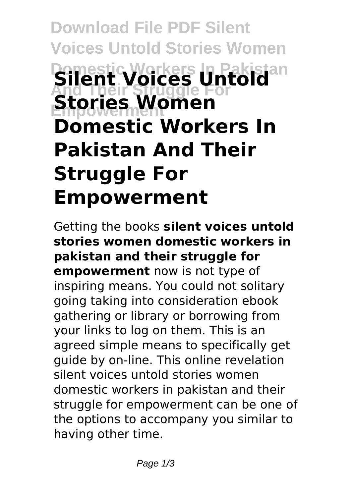## **Download File PDF Silent Voices Untold Stories Women Domestic Workers In Pakistan Silent Voices Untold And Their Struggle For Stories Women Domestic Workers In Pakistan And Their Struggle For Empowerment**

Getting the books **silent voices untold stories women domestic workers in pakistan and their struggle for empowerment** now is not type of inspiring means. You could not solitary going taking into consideration ebook gathering or library or borrowing from your links to log on them. This is an agreed simple means to specifically get guide by on-line. This online revelation silent voices untold stories women domestic workers in pakistan and their struggle for empowerment can be one of the options to accompany you similar to having other time.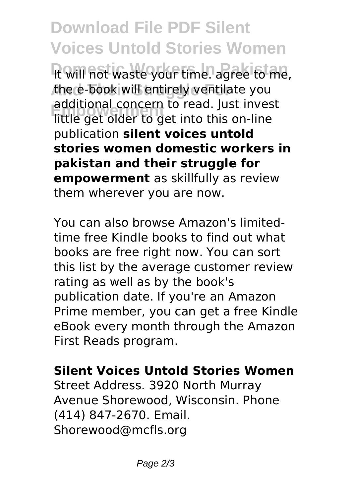**Download File PDF Silent Voices Untold Stories Women** It will not waste your time. agree to me, the e-book will entirely ventilate you **Empowerment** little get older to get into this on-line additional concern to read. Just invest publication **silent voices untold stories women domestic workers in pakistan and their struggle for empowerment** as skillfully as review them wherever you are now.

You can also browse Amazon's limitedtime free Kindle books to find out what books are free right now. You can sort this list by the average customer review rating as well as by the book's publication date. If you're an Amazon Prime member, you can get a free Kindle eBook every month through the Amazon First Reads program.

## **Silent Voices Untold Stories Women**

Street Address. 3920 North Murray Avenue Shorewood, Wisconsin. Phone (414) 847-2670. Email. Shorewood@mcfls.org